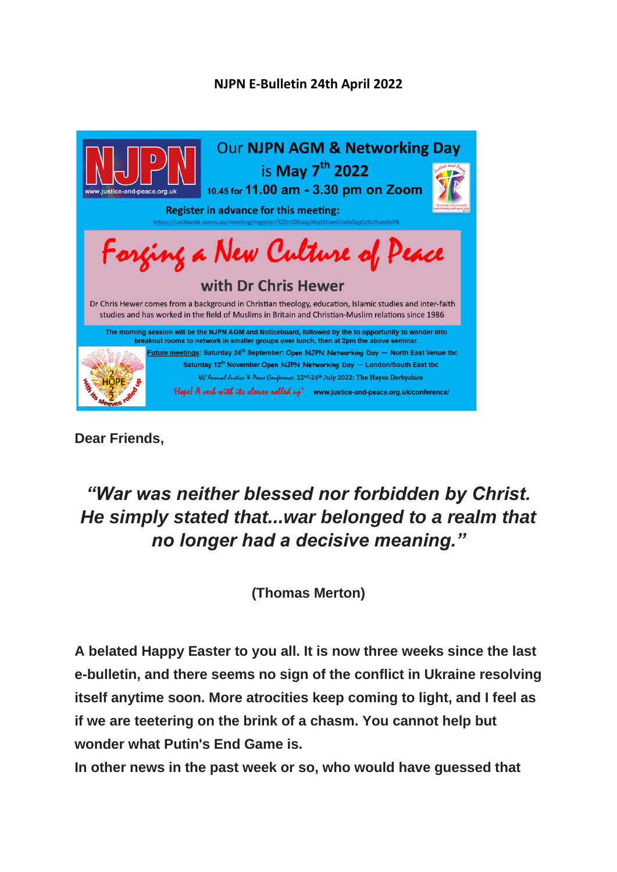#### **NJPN E-Bulletin 24th April 2022**



**Dear Friends,**

# *"War was neither blessed nor forbidden by Christ. He simply stated that...war belonged to a realm that no longer had a decisive meaning."*

**(Thomas Merton)**

**A belated Happy Easter to you all. It is now three weeks since the last e-bulletin, and there seems no sign of the conflict in Ukraine resolving itself anytime soon. More atrocities keep coming to light, and I feel as if we are teetering on the brink of a chasm. You cannot help but wonder what Putin's End Game is.**

**In other news in the past week or so, who would have guessed that**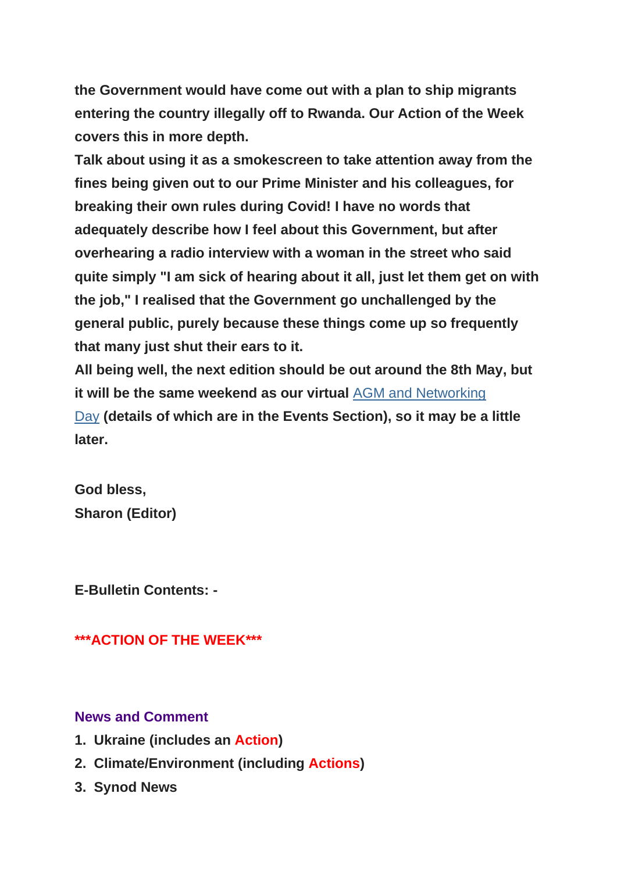**the Government would have come out with a plan to ship migrants entering the country illegally off to Rwanda. Our Action of the Week covers this in more depth.**

**Talk about using it as a smokescreen to take attention away from the fines being given out to our Prime Minister and his colleagues, for breaking their own rules during Covid! I have no words that adequately describe how I feel about this Government, but after overhearing a radio interview with a woman in the street who said quite simply "I am sick of hearing about it all, just let them get on with the job," I realised that the Government go unchallenged by the general public, purely because these things come up so frequently that many just shut their ears to it.**

**All being well, the next edition should be out around the 8th May, but it will be the same weekend as our virtual** [AGM and Networking](https://justice-and-peace.us7.list-manage.com/track/click?u=43dc262537b1536e87dc04eca&id=64cefd6786&e=21ab98db78)  [Day](https://justice-and-peace.us7.list-manage.com/track/click?u=43dc262537b1536e87dc04eca&id=64cefd6786&e=21ab98db78) **(details of which are in the Events Section), so it may be a little later.**

**God bless, Sharon (Editor)**

**E-Bulletin Contents: -**

## **\*\*\*ACTION OF THE WEEK\*\*\***

## **News and Comment**

- **1. Ukraine (includes an Action)**
- **2. Climate/Environment (including Actions)**
- **3. Synod News**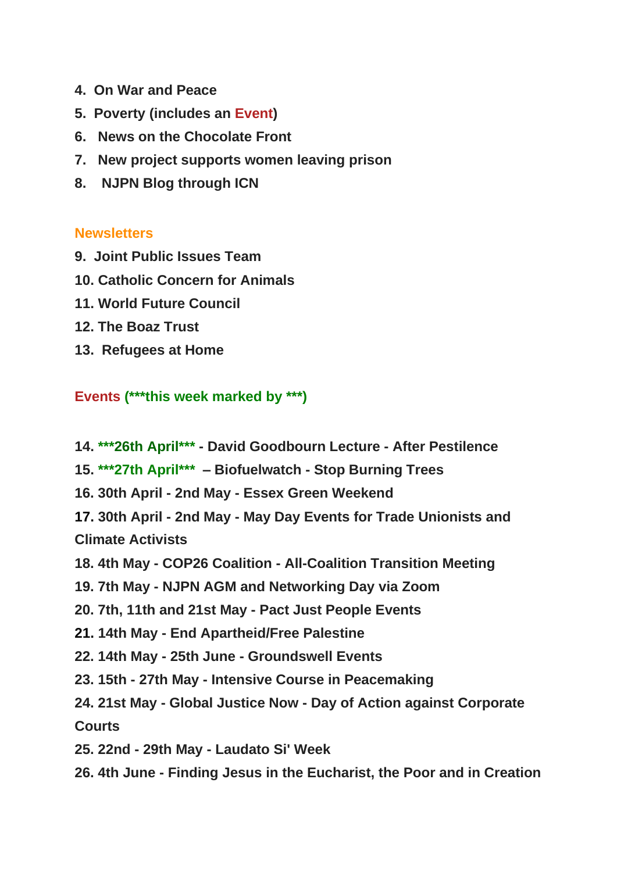- **4. On War and Peace**
- **5. Poverty (includes an Event)**
- **6. News on the Chocolate Front**
- **7. New project supports women leaving prison**
- **8. NJPN Blog through ICN**

## **Newsletters**

- **9. Joint Public Issues Team**
- **10. Catholic Concern for Animals**
- **11. World Future Council**
- **12. The Boaz Trust**
- **13. Refugees at Home**

## **Events (\*\*\*this week marked by \*\*\*)**

- **14. \*\*\*26th April\*\*\* - David Goodbourn Lecture - After Pestilence**
- **15. \*\*\*27th April\*\*\* – Biofuelwatch - Stop Burning Trees**
- **16. 30th April - 2nd May - Essex Green Weekend**
- **17. 30th April - 2nd May - May Day Events for Trade Unionists and Climate Activists**
- **18. 4th May - COP26 Coalition - All-Coalition Transition Meeting**
- **19. 7th May - NJPN AGM and Networking Day via Zoom**
- **20. 7th, 11th and 21st May - Pact Just People Events**
- **21. 14th May - End Apartheid/Free Palestine**
- **22. 14th May - 25th June - Groundswell Events**
- **23. 15th - 27th May - Intensive Course in Peacemaking**
- **24. 21st May - Global Justice Now - Day of Action against Corporate Courts**
- **25. 22nd - 29th May - Laudato Si' Week**
- **26. 4th June - Finding Jesus in the Eucharist, the Poor and in Creation**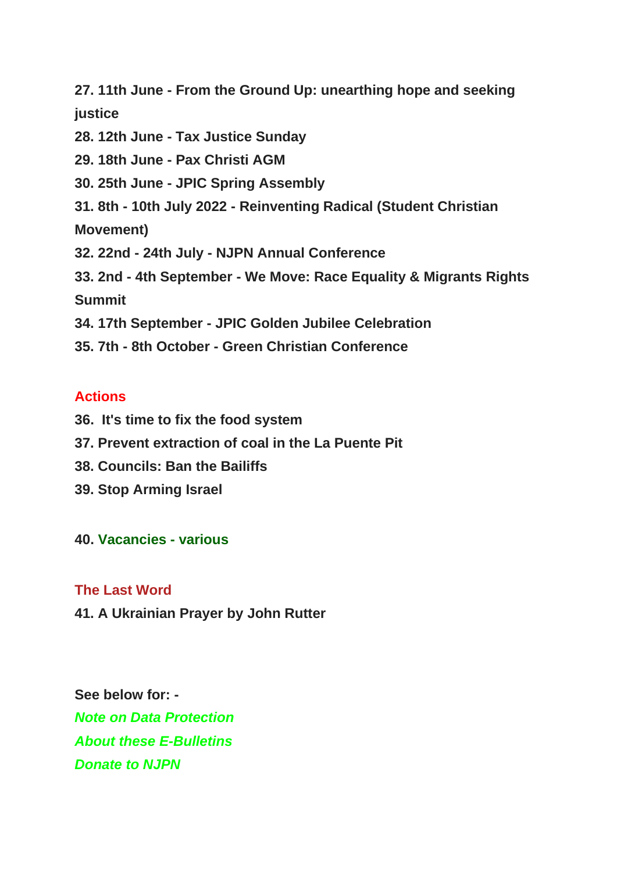**27. 11th June - From the Ground Up: unearthing hope and seeking justice**

**28. 12th June - Tax Justice Sunday**

**29. 18th June - Pax Christi AGM**

**30. 25th June - JPIC Spring Assembly**

**31. 8th - 10th July 2022 - Reinventing Radical (Student Christian** 

**Movement)**

**32. 22nd - 24th July - NJPN Annual Conference**

**33. 2nd - 4th September - We Move: Race Equality & Migrants Rights Summit**

**34. 17th September - JPIC Golden Jubilee Celebration**

**35. 7th - 8th October - Green Christian Conference**

#### **Actions**

- **36. It's time to fix the food system**
- **37. Prevent extraction of coal in the La Puente Pit**
- **38. Councils: Ban the Bailiffs**
- **39. Stop Arming Israel**

#### **40. Vacancies - various**

#### **The Last Word**

**41. A Ukrainian Prayer by John Rutter**

**See below for: -** *Note on Data Protection About these E-Bulletins Donate to NJPN*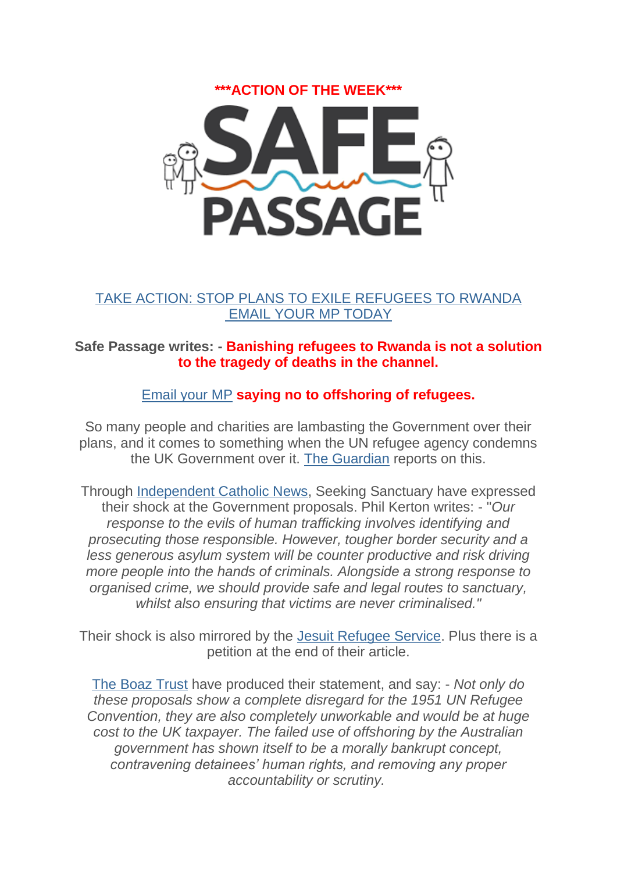

## [TAKE ACTION: STOP PLANS TO EXILE REFUGEES TO RWANDA](https://justice-and-peace.us7.list-manage.com/track/click?u=43dc262537b1536e87dc04eca&id=bcf0e3232c&e=21ab98db78) [EMAIL YOUR MP TODAY](https://justice-and-peace.us7.list-manage.com/track/click?u=43dc262537b1536e87dc04eca&id=bcf0e3232c&e=21ab98db78)

## **Safe Passage writes: - Banishing refugees to Rwanda is not a solution to the tragedy of deaths in the channel.**

## [Email your MP](https://justice-and-peace.us7.list-manage.com/track/click?u=43dc262537b1536e87dc04eca&id=3fb3284638&e=21ab98db78) **saying no to offshoring of refugees.**

So many people and charities are lambasting the Government over their plans, and it comes to something when the UN refugee agency condemns the UK Government over it. [The Guardian](https://justice-and-peace.us7.list-manage.com/track/click?u=43dc262537b1536e87dc04eca&id=52ab1bf97a&e=21ab98db78) reports on this.

Through [Independent Catholic News,](https://justice-and-peace.us7.list-manage.com/track/click?u=43dc262537b1536e87dc04eca&id=8423627717&e=21ab98db78) Seeking Sanctuary have expressed their shock at the Government proposals. Phil Kerton writes: - "*Our response to the evils of human trafficking involves identifying and prosecuting those responsible. However, tougher border security and a less generous asylum system will be counter productive and risk driving more people into the hands of criminals. Alongside a strong response to organised crime, we should provide safe and legal routes to sanctuary, whilst also ensuring that victims are never criminalised."*

Their shock is also mirrored by the [Jesuit Refugee Service.](https://justice-and-peace.us7.list-manage.com/track/click?u=43dc262537b1536e87dc04eca&id=1364df69ea&e=21ab98db78) Plus there is a petition at the end of their article.

[The Boaz Trust](https://justice-and-peace.us7.list-manage.com/track/click?u=43dc262537b1536e87dc04eca&id=20ac89876c&e=21ab98db78) have produced their statement, and say: - *Not only do these proposals show a complete disregard for the 1951 UN Refugee Convention, they are also completely unworkable and would be at huge cost to the UK taxpayer. The failed use of offshoring by the Australian government has shown itself to be a morally bankrupt concept, contravening detainees' human rights, and removing any proper accountability or scrutiny.*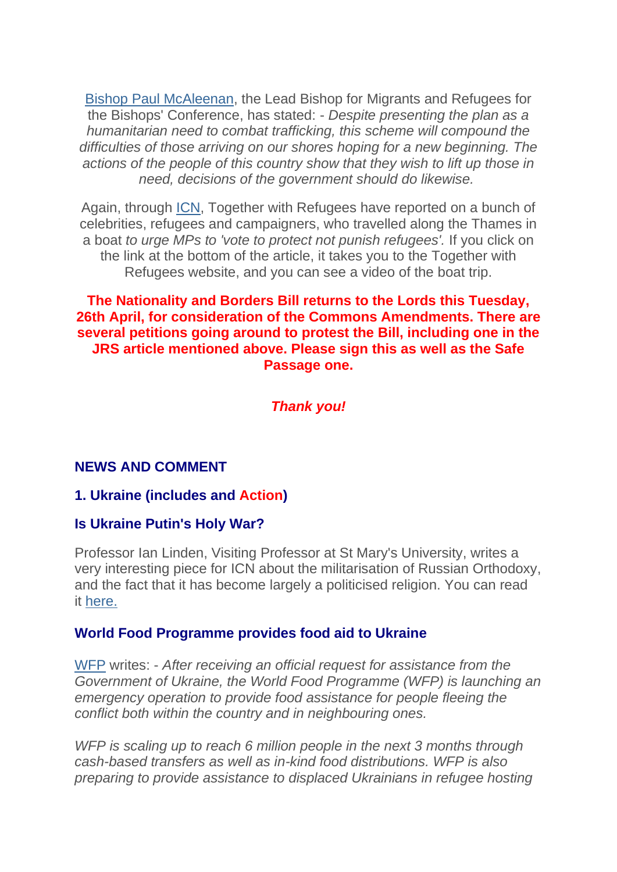[Bishop Paul McAleenan,](https://justice-and-peace.us7.list-manage.com/track/click?u=43dc262537b1536e87dc04eca&id=6d2bcc69ca&e=21ab98db78) the Lead Bishop for Migrants and Refugees for the Bishops' Conference, has stated: - *Despite presenting the plan as a humanitarian need to combat trafficking, this scheme will compound the difficulties of those arriving on our shores hoping for a new beginning. The actions of the people of this country show that they wish to lift up those in need, decisions of the government should do likewise.*

Again, through [ICN,](https://justice-and-peace.us7.list-manage.com/track/click?u=43dc262537b1536e87dc04eca&id=8af9a0143f&e=21ab98db78) Together with Refugees have reported on a bunch of celebrities, refugees and campaigners, who travelled along the Thames in a boat *to urge MPs to 'vote to protect not punish refugees'.* If you click on the link at the bottom of the article, it takes you to the Together with Refugees website, and you can see a video of the boat trip.

**The Nationality and Borders Bill returns to the Lords this Tuesday, 26th April, for consideration of the Commons Amendments. There are several petitions going around to protest the Bill, including one in the JRS article mentioned above. Please sign this as well as the Safe Passage one.**

## *Thank you!*

#### **NEWS AND COMMENT**

#### **1. Ukraine (includes and Action)**

#### **Is Ukraine Putin's Holy War?**

Professor Ian Linden, Visiting Professor at St Mary's University, writes a very interesting piece for ICN about the militarisation of Russian Orthodoxy, and the fact that it has become largely a politicised religion. You can read it [here.](https://justice-and-peace.us7.list-manage.com/track/click?u=43dc262537b1536e87dc04eca&id=b97f68077a&e=21ab98db78)

#### **World Food Programme provides food aid to Ukraine**

[WFP](https://justice-and-peace.us7.list-manage.com/track/click?u=43dc262537b1536e87dc04eca&id=a52960ead8&e=21ab98db78) writes: - *After receiving an official request for assistance from the Government of Ukraine, the World Food Programme (WFP) is launching an emergency operation to provide food assistance for people fleeing the conflict both within the country and in neighbouring ones.*

*WFP is scaling up to reach 6 million people in the next 3 months through cash-based transfers as well as in-kind food distributions. WFP is also preparing to provide assistance to displaced Ukrainians in refugee hosting*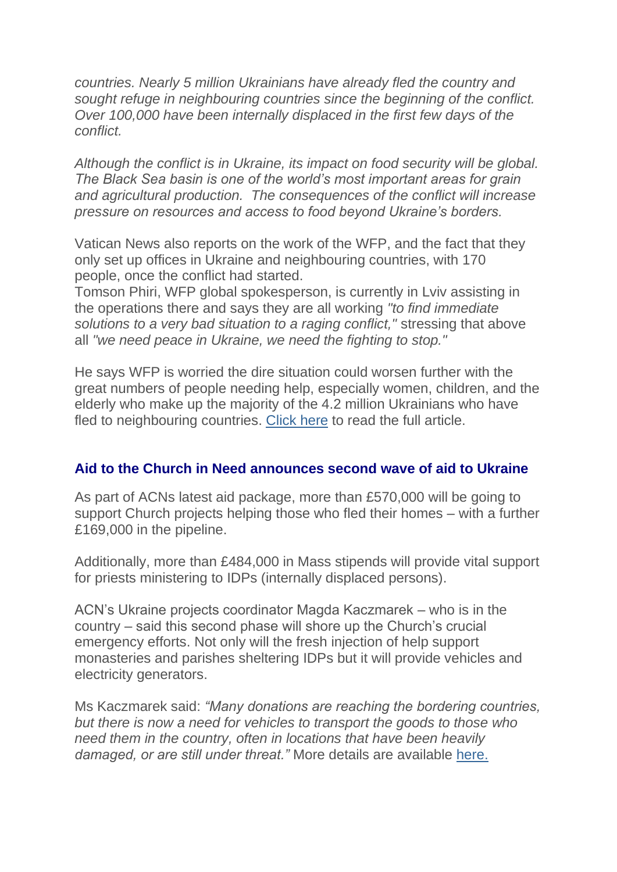*countries. Nearly 5 million Ukrainians have already fled the country and sought refuge in neighbouring countries since the beginning of the conflict. Over 100,000 have been internally displaced in the first few days of the conflict.*

*Although the conflict is in Ukraine, its impact on food security will be global. The Black Sea basin is one of the world's most important areas for grain and agricultural production. The consequences of the conflict will increase pressure on resources and access to food beyond Ukraine's borders.*

Vatican News also reports on the work of the WFP, and the fact that they only set up offices in Ukraine and neighbouring countries, with 170 people, once the conflict had started.

Tomson Phiri, WFP global spokesperson, is currently in Lviv assisting in the operations there and says they are all working *"to find immediate solutions to a very bad situation to a raging conflict,"* stressing that above all *"we need peace in Ukraine, we need the fighting to stop."*

He says WFP is worried the dire situation could worsen further with the great numbers of people needing help, especially women, children, and the elderly who make up the majority of the 4.2 million Ukrainians who have fled to neighbouring countries. [Click here](https://justice-and-peace.us7.list-manage.com/track/click?u=43dc262537b1536e87dc04eca&id=d95ad5dfd3&e=21ab98db78) to read the full article.

#### **Aid to the Church in Need announces second wave of aid to Ukraine**

As part of ACNs latest aid package, more than £570,000 will be going to support Church projects helping those who fled their homes – with a further £169,000 in the pipeline.

Additionally, more than £484,000 in Mass stipends will provide vital support for priests ministering to IDPs (internally displaced persons).

ACN's Ukraine projects coordinator Magda Kaczmarek – who is in the country – said this second phase will shore up the Church's crucial emergency efforts. Not only will the fresh injection of help support monasteries and parishes sheltering IDPs but it will provide vehicles and electricity generators.

Ms Kaczmarek said: *"Many donations are reaching the bordering countries, but there is now a need for vehicles to transport the goods to those who need them in the country, often in locations that have been heavily damaged, or are still under threat."* More details are available [here.](https://justice-and-peace.us7.list-manage.com/track/click?u=43dc262537b1536e87dc04eca&id=55c9b25004&e=21ab98db78)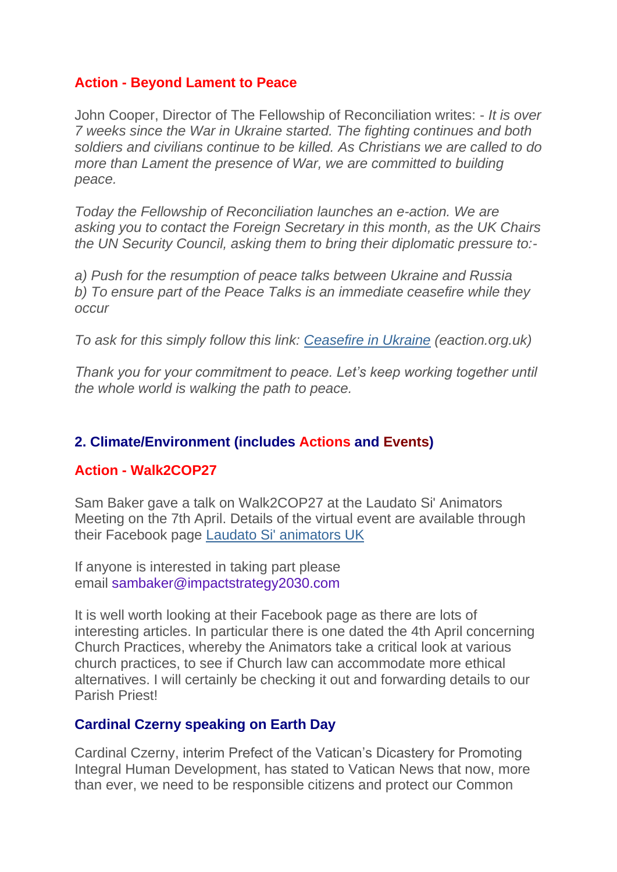## **Action - Beyond Lament to Peace**

John Cooper, Director of The Fellowship of Reconciliation writes: - *It is over 7 weeks since the War in Ukraine started. The fighting continues and both soldiers and civilians continue to be killed. As Christians we are called to do more than Lament the presence of War, we are committed to building peace.*

*Today the Fellowship of Reconciliation launches an e-action. We are asking you to contact the Foreign Secretary in this month, as the UK Chairs the UN Security Council, asking them to bring their diplomatic pressure to:-*

*a) Push for the resumption of peace talks between Ukraine and Russia b) To ensure part of the Peace Talks is an immediate ceasefire while they occur*

*To ask for this simply follow this link: [Ceasefire in Ukraine](https://justice-and-peace.us7.list-manage.com/track/click?u=43dc262537b1536e87dc04eca&id=2d588838dc&e=21ab98db78) (eaction.org.uk)*

*Thank you for your commitment to peace. Let's keep working together until the whole world is walking the path to peace.*

## **2. Climate/Environment (includes Actions and Events)**

#### **Action - Walk2COP27**

Sam Baker gave a talk on Walk2COP27 at the Laudato Si' Animators Meeting on the 7th April. Details of the virtual event are available through their Facebook page [Laudato Si' animators UK](https://justice-and-peace.us7.list-manage.com/track/click?u=43dc262537b1536e87dc04eca&id=0f99787f8f&e=21ab98db78)

If anyone is interested in taking part please email sambaker@impactstrategy2030.com

It is well worth looking at their Facebook page as there are lots of interesting articles. In particular there is one dated the 4th April concerning Church Practices, whereby the Animators take a critical look at various church practices, to see if Church law can accommodate more ethical alternatives. I will certainly be checking it out and forwarding details to our Parish Priest!

#### **Cardinal Czerny speaking on Earth Day**

Cardinal Czerny, interim Prefect of the Vatican's Dicastery for Promoting Integral Human Development, has stated to Vatican News that now, more than ever, we need to be responsible citizens and protect our Common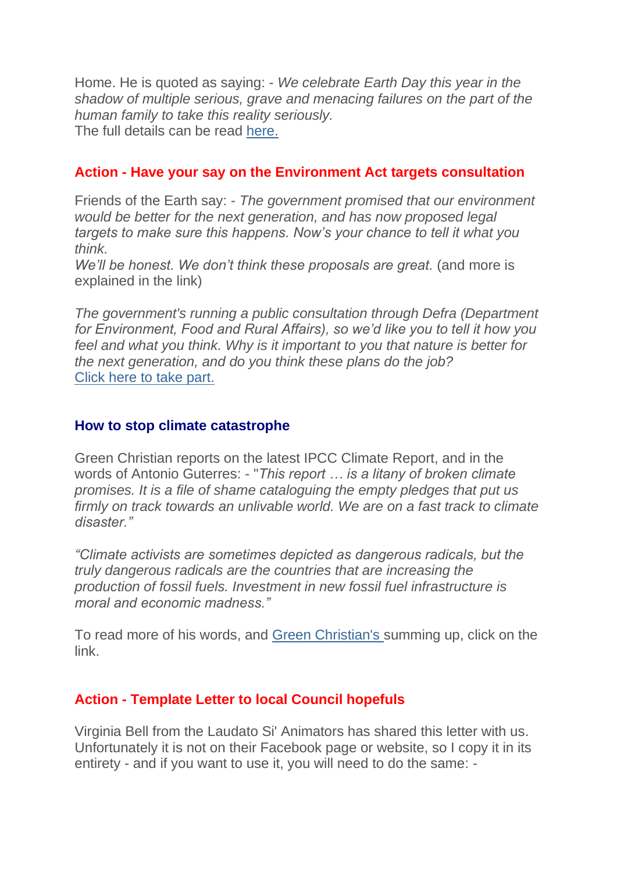Home. He is quoted as saying: - *We celebrate Earth Day this year in the shadow of multiple serious, grave and menacing failures on the part of the human family to take this reality seriously.* The full details can be read [here.](https://justice-and-peace.us7.list-manage.com/track/click?u=43dc262537b1536e87dc04eca&id=69ca6839ea&e=21ab98db78)

### **Action - Have your say on the Environment Act targets consultation**

Friends of the Earth say: - *The government promised that our environment would be better for the next generation, and has now proposed legal targets to make sure this happens. Now's your chance to tell it what you think.*

*We'll be honest. We don't think these proposals are great.* (and more is explained in the link)

*The government's running a public consultation through Defra (Department for Environment, Food and Rural Affairs), so we'd like you to tell it how you feel and what you think. Why is it important to you that nature is better for the next generation, and do you think these plans do the job?* [Click here to take part.](https://justice-and-peace.us7.list-manage.com/track/click?u=43dc262537b1536e87dc04eca&id=04009a6253&e=21ab98db78)

#### **How to stop climate catastrophe**

Green Christian reports on the latest IPCC Climate Report, and in the words of Antonio Guterres: - "*This report … is a litany of broken climate promises. It is a file of shame cataloguing the empty pledges that put us firmly on track towards an unlivable world. We are on a fast track to climate disaster."*

*"Climate activists are sometimes depicted as dangerous radicals, but the truly dangerous radicals are the countries that are increasing the production of fossil fuels. Investment in new fossil fuel infrastructure is moral and economic madness."*

To read more of his words, and [Green Christian's](https://justice-and-peace.us7.list-manage.com/track/click?u=43dc262537b1536e87dc04eca&id=f2710870be&e=21ab98db78) summing up, click on the link.

#### **Action - Template Letter to local Council hopefuls**

Virginia Bell from the Laudato Si' Animators has shared this letter with us. Unfortunately it is not on their Facebook page or website, so I copy it in its entirety - and if you want to use it, you will need to do the same: -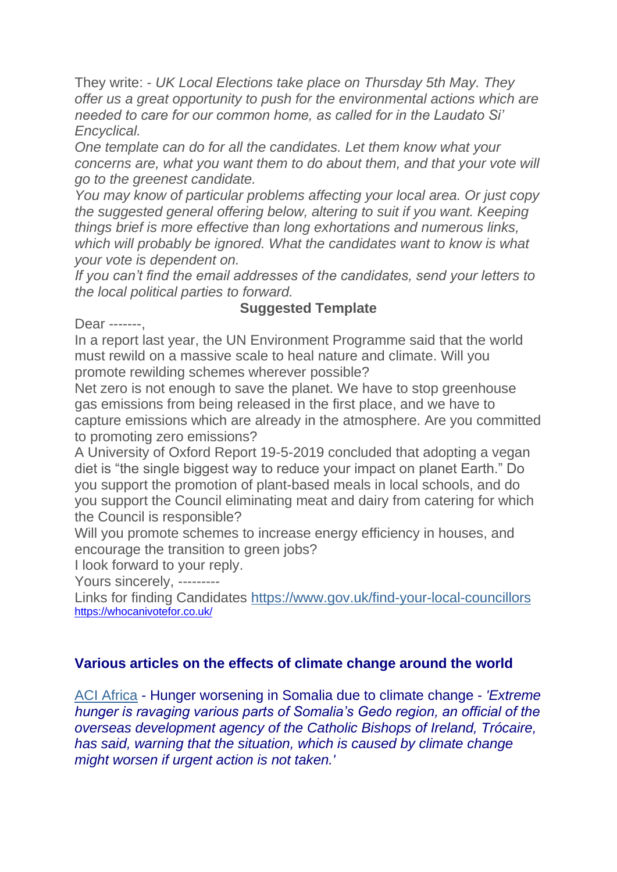They write: - *UK Local Elections take place on Thursday 5th May. They offer us a great opportunity to push for the environmental actions which are needed to care for our common home, as called for in the Laudato Si' Encyclical.*

*One template can do for all the candidates. Let them know what your concerns are, what you want them to do about them, and that your vote will go to the greenest candidate.*

*You may know of particular problems affecting your local area. Or just copy the suggested general offering below, altering to suit if you want. Keeping things brief is more effective than long exhortations and numerous links,*  which will probably be *ignored.* What the candidates want to know is what *your vote is dependent on.*

*If you can't find the email addresses of the candidates, send your letters to the local political parties to forward.*

## **Suggested Template**

Dear -------,

In a report last year, the UN Environment Programme said that the world must rewild on a massive scale to heal nature and climate. Will you promote rewilding schemes wherever possible?

Net zero is not enough to save the planet. We have to stop greenhouse gas emissions from being released in the first place, and we have to capture emissions which are already in the atmosphere. Are you committed to promoting zero emissions?

A University of Oxford Report 19-5-2019 concluded that adopting a vegan diet is "the single biggest way to reduce your impact on planet Earth." Do you support the promotion of plant-based meals in local schools, and do you support the Council eliminating meat and dairy from catering for which the Council is responsible?

Will you promote schemes to increase energy efficiency in houses, and encourage the transition to green jobs?

I look forward to your reply.

Yours sincerely, ---------

Links for finding Candidates [https://www.gov.uk/find-your-local-councillors](https://justice-and-peace.us7.list-manage.com/track/click?u=43dc262537b1536e87dc04eca&id=a38ef11e89&e=21ab98db78) <https://whocanivotefor.co.uk/>

## **Various articles on the effects of climate change around the world**

[ACI Africa](https://justice-and-peace.us7.list-manage.com/track/click?u=43dc262537b1536e87dc04eca&id=e83d6d7c47&e=21ab98db78) - Hunger worsening in Somalia due to climate change - *'Extreme hunger is ravaging various parts of Somalia's Gedo region, an official of the overseas development agency of the Catholic Bishops of Ireland, Trócaire, has said, warning that the situation, which is caused by climate change might worsen if urgent action is not taken.'*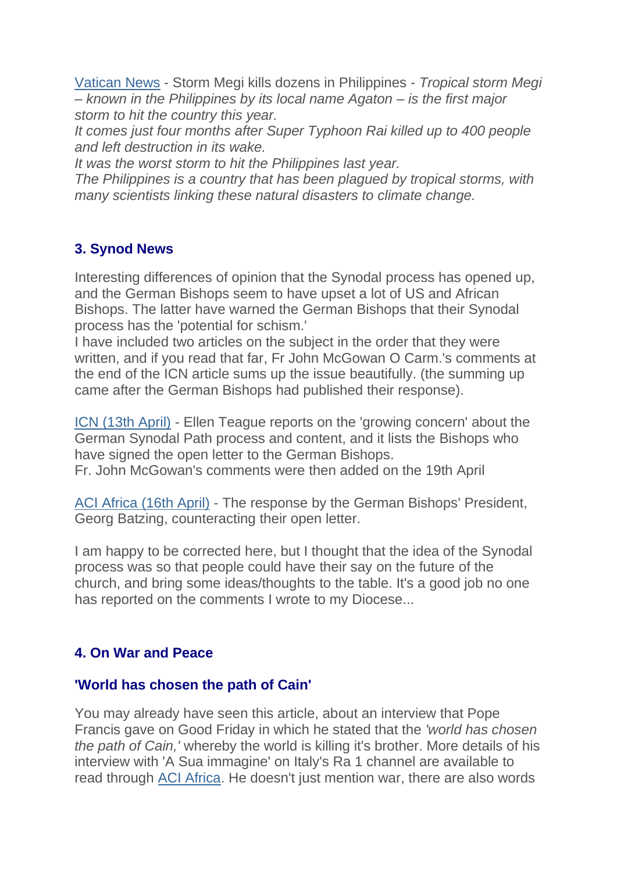[Vatican News](https://justice-and-peace.us7.list-manage.com/track/click?u=43dc262537b1536e87dc04eca&id=a4e500709f&e=21ab98db78) - Storm Megi kills dozens in Philippines - *Tropical storm Megi – known in the Philippines by its local name Agaton – is the first major storm to hit the country this year.*

*It comes just four months after Super Typhoon Rai killed up to 400 people and left destruction in its wake.*

*It was the worst storm to hit the Philippines last year.*

*The Philippines is a country that has been plagued by tropical storms, with many scientists linking these natural disasters to climate change.*

## **3. Synod News**

Interesting differences of opinion that the Synodal process has opened up, and the German Bishops seem to have upset a lot of US and African Bishops. The latter have warned the German Bishops that their Synodal process has the 'potential for schism.'

I have included two articles on the subject in the order that they were written, and if you read that far, Fr John McGowan O Carm.'s comments at the end of the ICN article sums up the issue beautifully. (the summing up came after the German Bishops had published their response).

[ICN \(13th April\)](https://justice-and-peace.us7.list-manage.com/track/click?u=43dc262537b1536e87dc04eca&id=41f9826280&e=21ab98db78) - Ellen Teague reports on the 'growing concern' about the German Synodal Path process and content, and it lists the Bishops who have signed the open letter to the German Bishops.

Fr. John McGowan's comments were then added on the 19th April

[ACI Africa \(16th April\)](https://justice-and-peace.us7.list-manage.com/track/click?u=43dc262537b1536e87dc04eca&id=19a312895d&e=21ab98db78) - The response by the German Bishops' President, Georg Batzing, counteracting their open letter.

I am happy to be corrected here, but I thought that the idea of the Synodal process was so that people could have their say on the future of the church, and bring some ideas/thoughts to the table. It's a good job no one has reported on the comments I wrote to my Diocese...

## **4. On War and Peace**

## **'World has chosen the path of Cain'**

You may already have seen this article, about an interview that Pope Francis gave on Good Friday in which he stated that the *'world has chosen the path of Cain,'* whereby the world is killing it's brother. More details of his interview with 'A Sua immagine' on Italy's Ra 1 channel are available to read through [ACI Africa.](https://justice-and-peace.us7.list-manage.com/track/click?u=43dc262537b1536e87dc04eca&id=72562499bf&e=21ab98db78) He doesn't just mention war, there are also words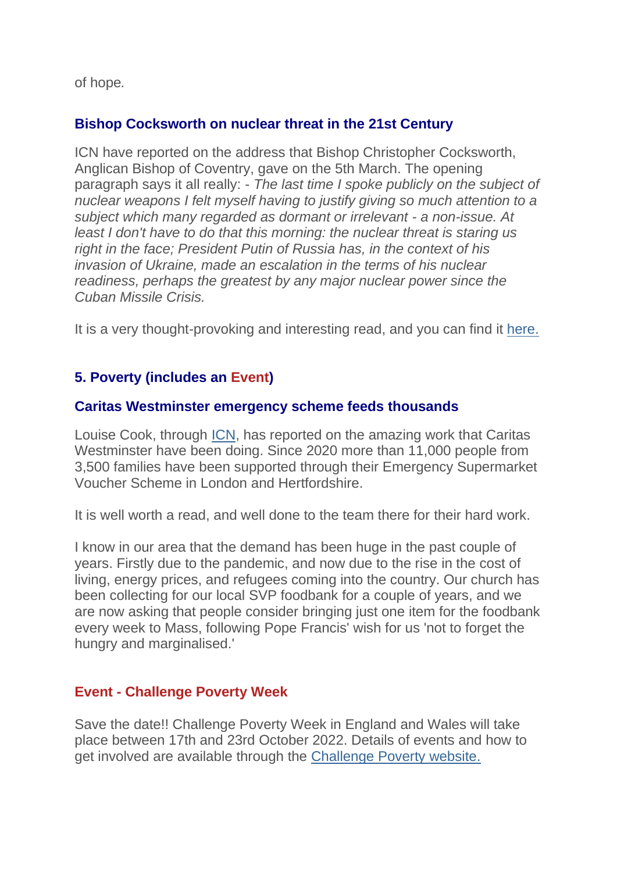of hope*.*

## **Bishop Cocksworth on nuclear threat in the 21st Century**

ICN have reported on the address that Bishop Christopher Cocksworth, Anglican Bishop of Coventry, gave on the 5th March. The opening paragraph says it all really: - *The last time I spoke publicly on the subject of nuclear weapons I felt myself having to justify giving so much attention to a subject which many regarded as dormant or irrelevant - a non-issue. At least I don't have to do that this morning: the nuclear threat is staring us right in the face; President Putin of Russia has, in the context of his invasion of Ukraine, made an escalation in the terms of his nuclear readiness, perhaps the greatest by any major nuclear power since the Cuban Missile Crisis.*

It is a very thought-provoking and interesting read, and you can find it [here.](https://justice-and-peace.us7.list-manage.com/track/click?u=43dc262537b1536e87dc04eca&id=fe230f6e39&e=21ab98db78)

## **5. Poverty (includes an Event)**

#### **Caritas Westminster emergency scheme feeds thousands**

Louise Cook, through [ICN,](https://justice-and-peace.us7.list-manage.com/track/click?u=43dc262537b1536e87dc04eca&id=86161724d2&e=21ab98db78) has reported on the amazing work that Caritas Westminster have been doing. Since 2020 more than 11,000 people from 3,500 families have been supported through their Emergency Supermarket Voucher Scheme in London and Hertfordshire.

It is well worth a read, and well done to the team there for their hard work.

I know in our area that the demand has been huge in the past couple of years. Firstly due to the pandemic, and now due to the rise in the cost of living, energy prices, and refugees coming into the country. Our church has been collecting for our local SVP foodbank for a couple of years, and we are now asking that people consider bringing just one item for the foodbank every week to Mass, following Pope Francis' wish for us 'not to forget the hungry and marginalised.'

#### **Event - Challenge Poverty Week**

Save the date!! Challenge Poverty Week in England and Wales will take place between 17th and 23rd October 2022. Details of events and how to get involved are available through the [Challenge Poverty website.](https://justice-and-peace.us7.list-manage.com/track/click?u=43dc262537b1536e87dc04eca&id=c404e790d5&e=21ab98db78)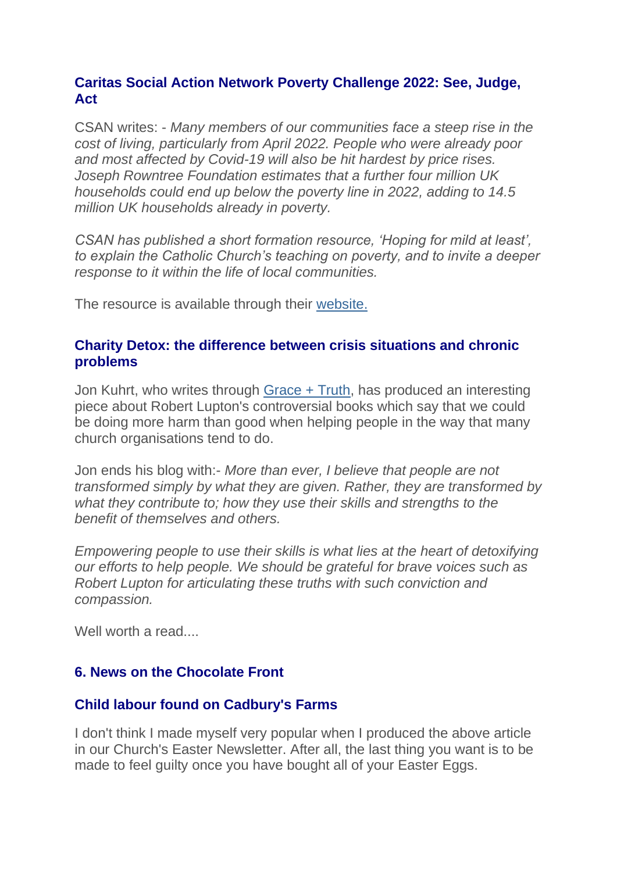## **Caritas Social Action Network Poverty Challenge 2022: See, Judge, Act**

CSAN writes: - *Many members of our communities face a steep rise in the cost of living, particularly from April 2022. People who were already poor and most affected by Covid-19 will also be hit hardest by price rises. Joseph Rowntree Foundation estimates that a further four million UK households could end up below the poverty line in 2022, adding to 14.5 million UK households already in poverty.*

*CSAN has published a short formation resource, 'Hoping for mild at least', to explain the Catholic Church's teaching on poverty, and to invite a deeper response to it within the life of local communities.*

The resource is available through their [website.](https://justice-and-peace.us7.list-manage.com/track/click?u=43dc262537b1536e87dc04eca&id=710dda1cdd&e=21ab98db78)

#### **Charity Detox: the difference between crisis situations and chronic problems**

Jon Kuhrt, who writes through [Grace + Truth,](https://justice-and-peace.us7.list-manage.com/track/click?u=43dc262537b1536e87dc04eca&id=4fbc1ab3a8&e=21ab98db78) has produced an interesting piece about Robert Lupton's controversial books which say that we could be doing more harm than good when helping people in the way that many church organisations tend to do.

Jon ends his blog with:- *More than ever, I believe that people are not transformed simply by what they are given. Rather, they are transformed by what they contribute to; how they use their skills and strengths to the benefit of themselves and others.*

*Empowering people to use their skills is what lies at the heart of detoxifying our efforts to help people. We should be grateful for brave voices such as Robert Lupton for articulating these truths with such conviction and compassion.*

Well worth a read

## **6. News on the Chocolate Front**

#### **Child labour found on Cadbury's Farms**

I don't think I made myself very popular when I produced the above article in our Church's Easter Newsletter. After all, the last thing you want is to be made to feel guilty once you have bought all of your Easter Eggs.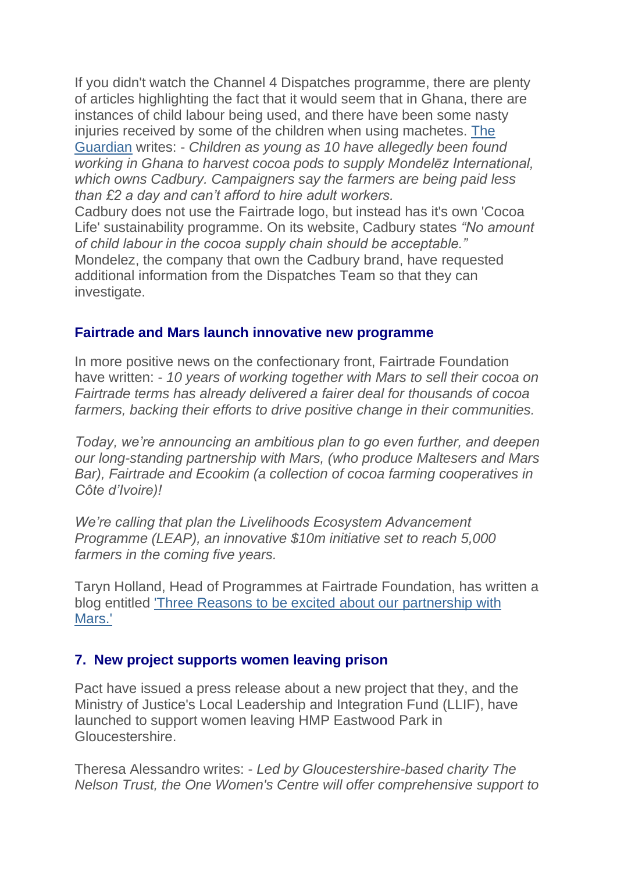If you didn't watch the Channel 4 Dispatches programme, there are plenty of articles highlighting the fact that it would seem that in Ghana, there are instances of child labour being used, and there have been some nasty injuries received by some of the children when using machetes. [The](https://justice-and-peace.us7.list-manage.com/track/click?u=43dc262537b1536e87dc04eca&id=b9812190f5&e=21ab98db78)  [Guardian](https://justice-and-peace.us7.list-manage.com/track/click?u=43dc262537b1536e87dc04eca&id=b9812190f5&e=21ab98db78) writes: - *Children as young as 10 have allegedly been found working in Ghana to harvest cocoa pods to supply Mondelēz International, which owns Cadbury. Campaigners say the farmers are being paid less than £2 a day and can't afford to hire adult workers.*

Cadbury does not use the Fairtrade logo, but instead has it's own 'Cocoa Life' sustainability programme. On its website, Cadbury states *"No amount of child labour in the cocoa supply chain should be acceptable."* Mondelez, the company that own the Cadbury brand, have requested additional information from the Dispatches Team so that they can investigate.

#### **Fairtrade and Mars launch innovative new programme**

In more positive news on the confectionary front, Fairtrade Foundation have written: - *10 years of working together with Mars to sell their cocoa on Fairtrade terms has already delivered a fairer deal for thousands of cocoa farmers, backing their efforts to drive positive change in their communities.*

*Today, we're announcing an ambitious plan to go even further, and deepen our long-standing partnership with Mars, (who produce Maltesers and Mars Bar), Fairtrade and Ecookim (a collection of cocoa farming cooperatives in Côte d'Ivoire)!*

*We're calling that plan the Livelihoods Ecosystem Advancement Programme (LEAP), an innovative \$10m initiative set to reach 5,000 farmers in the coming five years.*

Taryn Holland, Head of Programmes at Fairtrade Foundation, has written a blog entitled ['Three Reasons to be excited](https://justice-and-peace.us7.list-manage.com/track/click?u=43dc262537b1536e87dc04eca&id=771eecd1a2&e=21ab98db78) about our partnership with [Mars.'](https://justice-and-peace.us7.list-manage.com/track/click?u=43dc262537b1536e87dc04eca&id=771eecd1a2&e=21ab98db78)

#### **7. New project supports women leaving prison**

Pact have issued a press release about a new project that they, and the Ministry of Justice's Local Leadership and Integration Fund (LLIF), have launched to support women leaving HMP Eastwood Park in Gloucestershire.

Theresa Alessandro writes: - *Led by Gloucestershire-based charity The Nelson Trust, the One Women's Centre will offer comprehensive support to*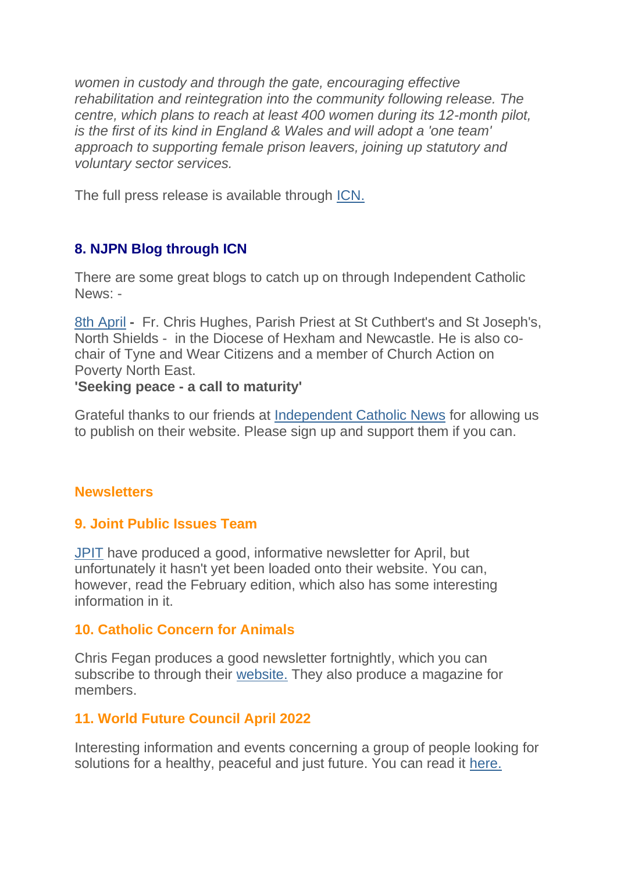*women in custody and through the gate, encouraging effective rehabilitation and reintegration into the community following release. The centre, which plans to reach at least 400 women during its 12-month pilot, is the first of its kind in England & Wales and will adopt a 'one team' approach to supporting female prison leavers, joining up statutory and voluntary sector services.*

The full press release is available through [ICN.](https://justice-and-peace.us7.list-manage.com/track/click?u=43dc262537b1536e87dc04eca&id=106d0f5f74&e=21ab98db78)

## **8. NJPN Blog through ICN**

There are some great blogs to catch up on through Independent Catholic News: -

[8th April](https://justice-and-peace.us7.list-manage.com/track/click?u=43dc262537b1536e87dc04eca&id=675de13932&e=21ab98db78) **-** Fr. Chris Hughes, Parish Priest at St Cuthbert's and St Joseph's, North Shields - in the Diocese of Hexham and Newcastle. He is also cochair of Tyne and Wear Citizens and a member of Church Action on Poverty North East.

#### **'Seeking peace - a call to maturity'**

Grateful thanks to our friends at [Independent Catholic News](https://justice-and-peace.us7.list-manage.com/track/click?u=43dc262537b1536e87dc04eca&id=651f71d435&e=21ab98db78) for allowing us to publish on their website. Please sign up and support them if you can.

#### **Newsletters**

#### **9. Joint Public Issues Team**

[JPIT](https://justice-and-peace.us7.list-manage.com/track/click?u=43dc262537b1536e87dc04eca&id=7e26b9fe5a&e=21ab98db78) have produced a good, informative newsletter for April, but unfortunately it hasn't yet been loaded onto their website. You can, however, read the February edition, which also has some interesting information in it.

#### **10. Catholic Concern for Animals**

Chris Fegan produces a good newsletter fortnightly, which you can subscribe to through their [website.](https://justice-and-peace.us7.list-manage.com/track/click?u=43dc262537b1536e87dc04eca&id=5294c2114c&e=21ab98db78) They also produce a magazine for members.

#### **11. World Future Council April 2022**

Interesting information and events concerning a group of people looking for solutions for a healthy, peaceful and just future. You can read it [here.](https://justice-and-peace.us7.list-manage.com/track/click?u=43dc262537b1536e87dc04eca&id=834f3f6260&e=21ab98db78)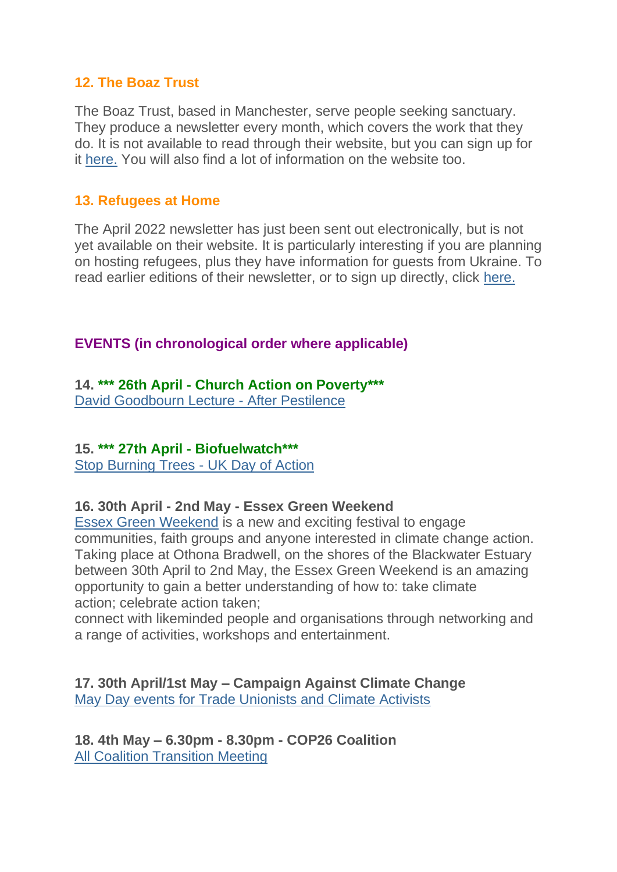#### **12. The Boaz Trust**

The Boaz Trust, based in Manchester, serve people seeking sanctuary. They produce a newsletter every month, which covers the work that they do. It is not available to read through their website, but you can sign up for it [here.](https://justice-and-peace.us7.list-manage.com/track/click?u=43dc262537b1536e87dc04eca&id=85b1116144&e=21ab98db78) You will also find a lot of information on the website too.

## **13. Refugees at Home**

The April 2022 newsletter has just been sent out electronically, but is not yet available on their website. It is particularly interesting if you are planning on hosting refugees, plus they have information for guests from Ukraine. To read earlier editions of their newsletter, or to sign up directly, click [here.](https://justice-and-peace.us7.list-manage.com/track/click?u=43dc262537b1536e87dc04eca&id=1772c87272&e=21ab98db78)

## **EVENTS (in chronological order where applicable)**

**14. \*\*\* 26th April - Church Action on Poverty\*\*\*** [David Goodbourn Lecture -](https://justice-and-peace.us7.list-manage.com/track/click?u=43dc262537b1536e87dc04eca&id=bf96395040&e=21ab98db78) After Pestilence

## **15. \*\*\* 27th April - Biofuelwatch\*\*\***

[Stop Burning Trees -](https://justice-and-peace.us7.list-manage.com/track/click?u=43dc262537b1536e87dc04eca&id=0349193a99&e=21ab98db78) UK Day of Action

#### **16. 30th April - 2nd May - Essex Green Weekend**

[Essex Green Weekend](https://justice-and-peace.us7.list-manage.com/track/click?u=43dc262537b1536e87dc04eca&id=1283abbab8&e=21ab98db78) is a new and exciting festival to engage communities, faith groups and anyone interested in climate change action. Taking place at Othona Bradwell, on the shores of the Blackwater Estuary between 30th April to 2nd May, the Essex Green Weekend is an amazing opportunity to gain a better understanding of how to: take climate action; celebrate action taken;

connect with likeminded people and organisations through networking and a range of activities, workshops and entertainment.

**17. 30th April/1st May – Campaign Against Climate Change** [May Day events for Trade Unionists and Climate Activists](https://justice-and-peace.us7.list-manage.com/track/click?u=43dc262537b1536e87dc04eca&id=efe6269c76&e=21ab98db78)

**18. 4th May – 6.30pm - 8.30pm - COP26 Coalition** [All Coalition Transition Meeting](https://justice-and-peace.us7.list-manage.com/track/click?u=43dc262537b1536e87dc04eca&id=de48d854f8&e=21ab98db78)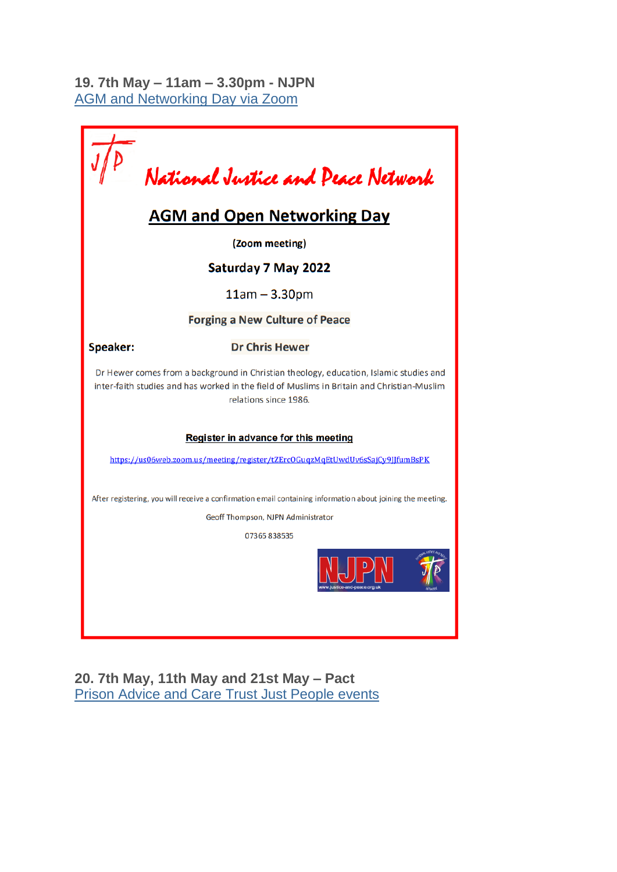**19. 7th May – 11am – 3.30pm - NJPN** [AGM and Networking Day via Zoom](https://justice-and-peace.us7.list-manage.com/track/click?u=43dc262537b1536e87dc04eca&id=a761456b8f&e=21ab98db78)

National Justice and Peace Network **AGM and Open Networking Day** (Zoom meeting) Saturday 7 May 2022  $11am - 3.30pm$ **Forging a New Culture of Peace** Speaker: **Dr Chris Hewer** Dr Hewer comes from a background in Christian theology, education, Islamic studies and inter-faith studies and has worked in the field of Muslims in Britain and Christian-Muslim relations since 1986. Register in advance for this meeting https://us06web.zoom.us/meeting/register/tZErcOGuqzMqEtUwdUv6sSajCy9JJfumBsPK After registering, you will receive a confirmation email containing information about joining the meeting. Geoff Thompson, NJPN Administrator 07365838535

**20. 7th May, 11th May and 21st May – Pact** [Prison Advice and Care Trust Just People events](https://justice-and-peace.us7.list-manage.com/track/click?u=43dc262537b1536e87dc04eca&id=0a725849ef&e=21ab98db78)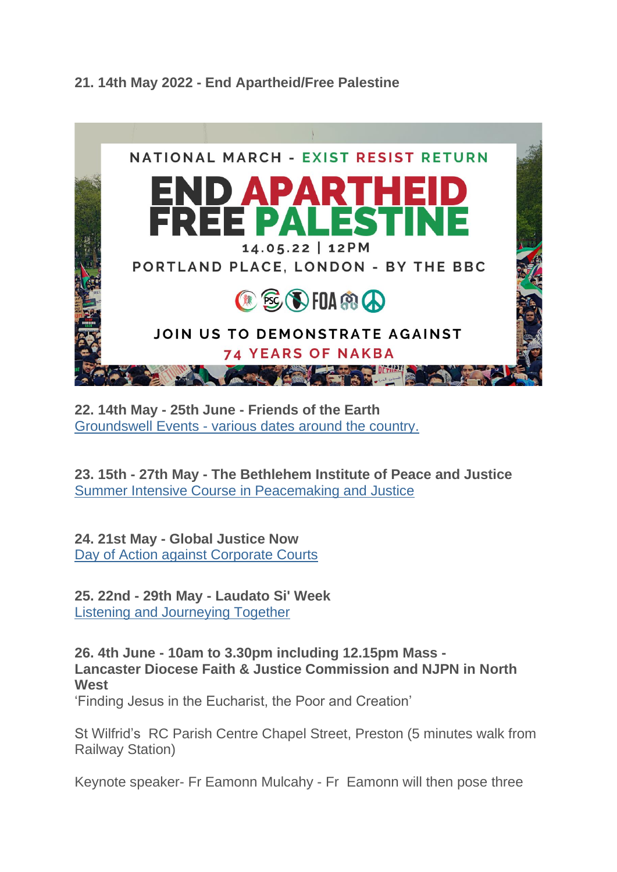## **21. 14th May 2022 - End Apartheid/Free Palestine**



**22. 14th May - 25th June - Friends of the Earth** Groundswell Events - [various dates around the country.](https://justice-and-peace.us7.list-manage.com/track/click?u=43dc262537b1536e87dc04eca&id=e6b4295e3f&e=21ab98db78)

**23. 15th - 27th May - The Bethlehem Institute of Peace and Justice** [Summer Intensive Course in Peacemaking and Justice](https://justice-and-peace.us7.list-manage.com/track/click?u=43dc262537b1536e87dc04eca&id=da550b0025&e=21ab98db78)

**24. 21st May - Global Justice Now** [Day of Action against Corporate Courts](https://justice-and-peace.us7.list-manage.com/track/click?u=43dc262537b1536e87dc04eca&id=318f612887&e=21ab98db78)

**25. 22nd - 29th May - Laudato Si' Week** [Listening and Journeying Together](https://justice-and-peace.us7.list-manage.com/track/click?u=43dc262537b1536e87dc04eca&id=97d3def059&e=21ab98db78)

**26. 4th June - 10am to 3.30pm including 12.15pm Mass - Lancaster Diocese Faith & Justice Commission and NJPN in North West** 'Finding Jesus in the Eucharist, the Poor and Creation'

St Wilfrid's RC Parish Centre Chapel Street, Preston (5 minutes walk from Railway Station)

Keynote speaker- Fr Eamonn Mulcahy - Fr Eamonn will then pose three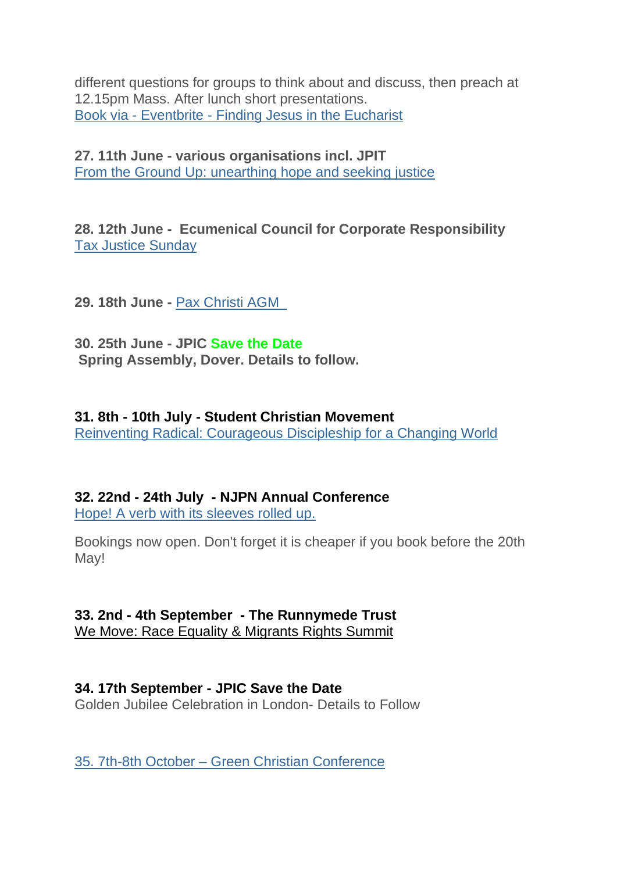different questions for groups to think about and discuss, then preach at 12.15pm Mass. After lunch short presentations. Book via - Eventbrite - [Finding Jesus in the Eucharist](https://justice-and-peace.us7.list-manage.com/track/click?u=43dc262537b1536e87dc04eca&id=873efdab5a&e=21ab98db78)

**27. 11th June - various organisations incl. JPIT** [From the Ground Up: unearthing](https://justice-and-peace.us7.list-manage.com/track/click?u=43dc262537b1536e87dc04eca&id=cd36c1ca8e&e=21ab98db78) hope and seeking justice

**28. 12th June - Ecumenical Council for Corporate Responsibility** [Tax Justice Sunday](https://justice-and-peace.us7.list-manage.com/track/click?u=43dc262537b1536e87dc04eca&id=698c57f60b&e=21ab98db78)

**29. 18th June -** [Pax Christi AGM](https://justice-and-peace.us7.list-manage.com/track/click?u=43dc262537b1536e87dc04eca&id=dd2d2b4d42&e=21ab98db78) 

**30. 25th June - JPIC Save the Date Spring Assembly, Dover. Details to follow.**

#### **31. 8th - 10th July - Student Christian Movement** [Reinventing Radical: Courageous Discipleship for a Changing World](https://justice-and-peace.us7.list-manage.com/track/click?u=43dc262537b1536e87dc04eca&id=6c90dad30b&e=21ab98db78)

# **32. 22nd - 24th July - NJPN Annual Conference**

[Hope! A verb with its sleeves rolled up.](https://justice-and-peace.us7.list-manage.com/track/click?u=43dc262537b1536e87dc04eca&id=89420eca08&e=21ab98db78)

Bookings now open. Don't forget it is cheaper if you book before the 20th May!

**33. 2nd - 4th September - The Runnymede Trust** [We Move: Race Equality & Migrants Rights Summit](https://justice-and-peace.us7.list-manage.com/track/click?u=43dc262537b1536e87dc04eca&id=1c8e7f6e35&e=21ab98db78)

## **34. 17th September - JPIC Save the Date** Golden Jubilee Celebration in London- Details to Follow

35. 7th-8th October – [Green Christian Conference](https://justice-and-peace.us7.list-manage.com/track/click?u=43dc262537b1536e87dc04eca&id=7f60a77f56&e=21ab98db78)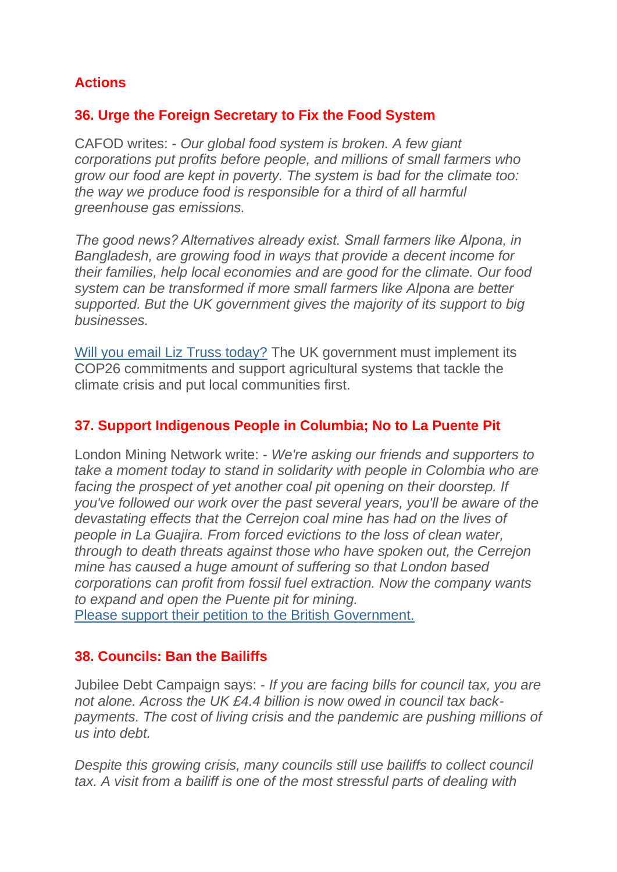## **Actions**

### **36. Urge the Foreign Secretary to Fix the Food System**

CAFOD writes: - *Our global food system is broken. A few giant corporations put profits before people, and millions of small farmers who grow our food are kept in poverty. The system is bad for the climate too: the way we produce food is responsible for a third of all harmful greenhouse gas emissions.*

*The good news? Alternatives already exist. Small farmers like Alpona, in Bangladesh, are growing food in ways that provide a decent income for their families, help local economies and are good for the climate. Our food system can be transformed if more small farmers like Alpona are better supported. But the UK government gives the majority of its support to big businesses.*

[Will you email Liz Truss today?](https://justice-and-peace.us7.list-manage.com/track/click?u=43dc262537b1536e87dc04eca&id=ac6e85aa03&e=21ab98db78) The UK government must implement its COP26 commitments and support agricultural systems that tackle the climate crisis and put local communities first.

#### **37. Support Indigenous People in Columbia; No to La Puente Pit**

London Mining Network write: - *We're asking our friends and supporters to take a moment today to stand in solidarity with people in Colombia who are*  facing the prospect of yet another coal pit opening on their doorstep. If *you've followed our work over the past several years, you'll be aware of the devastating effects that the Cerrejon coal mine has had on the lives of people in La Guajira. From forced evictions to the loss of clean water, through to death threats against those who have spoken out, the Cerrejon mine has caused a huge amount of suffering so that London based corporations can profit from fossil fuel extraction. Now the company wants to expand and open the Puente pit for mining.*

[Please support their petition to the British Government.](https://justice-and-peace.us7.list-manage.com/track/click?u=43dc262537b1536e87dc04eca&id=8998547b02&e=21ab98db78)

#### **38. Councils: Ban the Bailiffs**

Jubilee Debt Campaign says: - *If you are facing bills for council tax, you are not alone. Across the UK £4.4 billion is now owed in council tax backpayments. The cost of living crisis and the pandemic are pushing millions of us into debt.*

*Despite this growing crisis, many councils still use bailiffs to collect council tax. A visit from a bailiff is one of the most stressful parts of dealing with*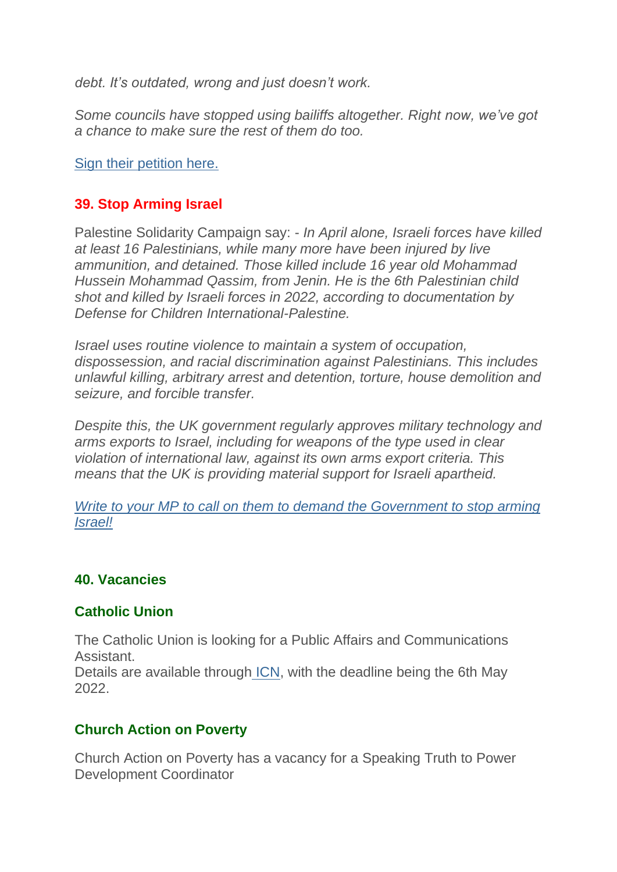*debt. It's outdated, wrong and just doesn't work.*

*Some councils have stopped using bailiffs altogether. Right now, we've got a chance to make sure the rest of them do too.*

[Sign their petition here.](https://justice-and-peace.us7.list-manage.com/track/click?u=43dc262537b1536e87dc04eca&id=a967f5a05c&e=21ab98db78)

## **39. Stop Arming Israel**

Palestine Solidarity Campaign say: - *In April alone, Israeli forces have killed at least 16 Palestinians, while many more have been injured by live ammunition, and detained. Those killed include 16 year old Mohammad Hussein Mohammad Qassim, from Jenin. He is the 6th Palestinian child shot and killed by Israeli forces in 2022, according to documentation by Defense for Children International-Palestine.*

*Israel uses routine violence to maintain a system of occupation, dispossession, and racial discrimination against Palestinians. This includes unlawful killing, arbitrary arrest and detention, torture, house demolition and seizure, and forcible transfer.*

*Despite this, the UK government regularly approves military technology and arms exports to Israel, including for weapons of the type used in clear violation of international law, against its own arms export criteria. This means that the UK is providing material support for Israeli apartheid.*

*[Write to your MP to call on them to demand the Government to stop arming](https://justice-and-peace.us7.list-manage.com/track/click?u=43dc262537b1536e87dc04eca&id=42b6111f4d&e=21ab98db78)  [Israel!](https://justice-and-peace.us7.list-manage.com/track/click?u=43dc262537b1536e87dc04eca&id=42b6111f4d&e=21ab98db78)*

## **40. Vacancies**

## **Catholic Union**

The Catholic Union is looking for a Public Affairs and Communications Assistant.

Details are available through [ICN,](https://justice-and-peace.us7.list-manage.com/track/click?u=43dc262537b1536e87dc04eca&id=4d71130925&e=21ab98db78) with the deadline being the 6th May 2022.

## **Church Action on Poverty**

Church Action on Poverty has a vacancy for a Speaking Truth to Power Development Coordinator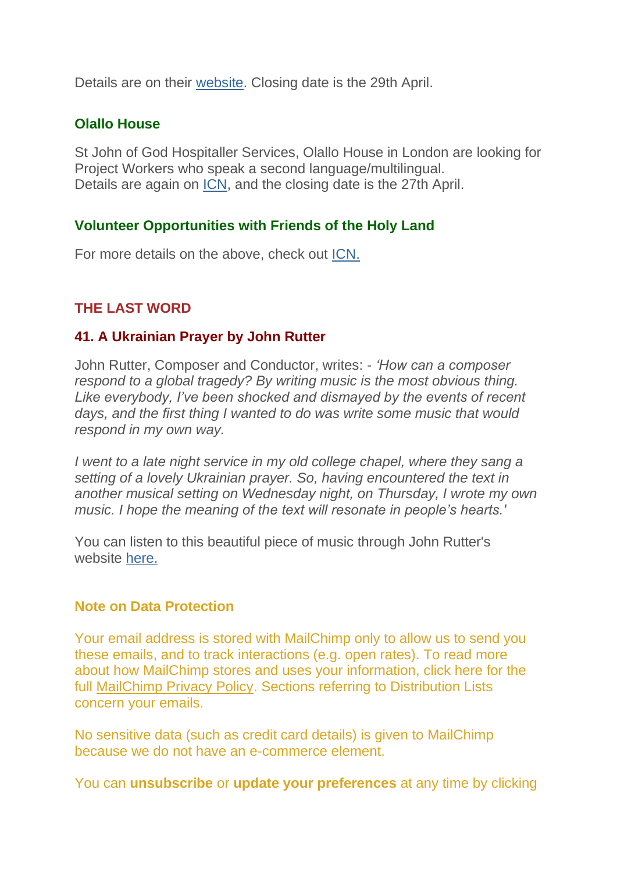Details are on their [website.](https://justice-and-peace.us7.list-manage.com/track/click?u=43dc262537b1536e87dc04eca&id=a634dce1b7&e=21ab98db78) Closing date is the 29th April.

#### **Olallo House**

St John of God Hospitaller Services, Olallo House in London are looking for Project Workers who speak a second language/multilingual. Details are again on [ICN,](https://justice-and-peace.us7.list-manage.com/track/click?u=43dc262537b1536e87dc04eca&id=f29fc530c6&e=21ab98db78) and the closing date is the 27th April.

#### **Volunteer Opportunities with Friends of the Holy Land**

For more details on the above, check out [ICN.](https://justice-and-peace.us7.list-manage.com/track/click?u=43dc262537b1536e87dc04eca&id=e15b206242&e=21ab98db78)

## **THE LAST WORD**

#### **41. A Ukrainian Prayer by John Rutter**

John Rutter, Composer and Conductor, writes: - *'How can a composer respond to a global tragedy? By writing music is the most obvious thing. Like everybody, I've been shocked and dismayed by the events of recent days, and the first thing I wanted to do was write some music that would respond in my own way.*

*I* went to a late night service in my old college chapel, where they sang a *setting of a lovely Ukrainian prayer. So, having encountered the text in another musical setting on Wednesday night, on Thursday, I wrote my own music. I hope the meaning of the text will resonate in people's hearts.'*

You can listen to this beautiful piece of music through John Rutter's website [here.](https://justice-and-peace.us7.list-manage.com/track/click?u=43dc262537b1536e87dc04eca&id=1811cd13c4&e=21ab98db78)

#### **Note on Data Protection**

Your email address is stored with MailChimp only to allow us to send you these emails, and to track interactions (e.g. open rates). To read more about how MailChimp stores and uses your information, click here for the full [MailChimp Privacy Policy.](https://justice-and-peace.us7.list-manage.com/track/click?u=43dc262537b1536e87dc04eca&id=b12093f926&e=21ab98db78) Sections referring to Distribution Lists concern your emails.

No sensitive data (such as credit card details) is given to MailChimp because we do not have an e-commerce element.

You can **unsubscribe** or **update your preferences** at any time by clicking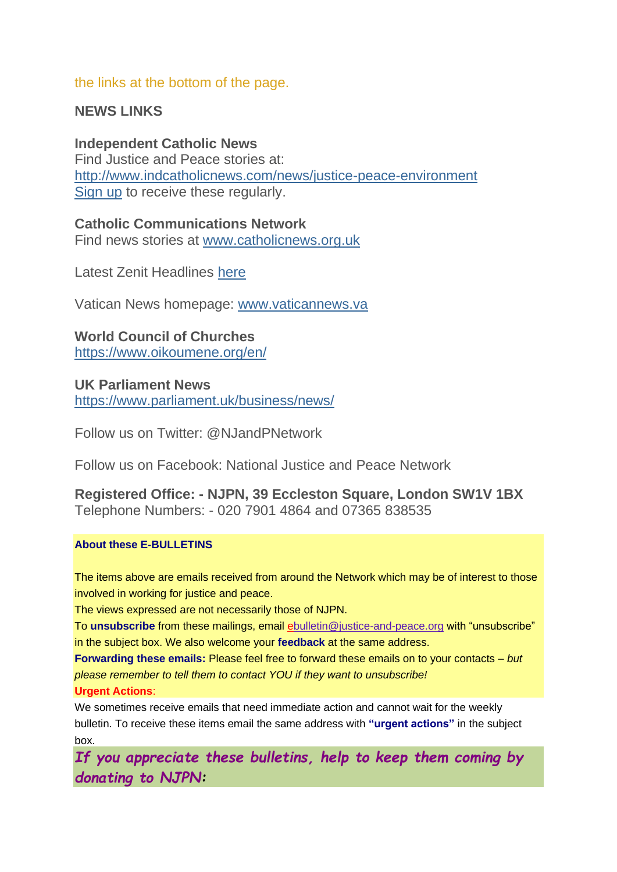#### the links at the bottom of the page.

#### **NEWS LINKS**

### **Independent Catholic News**

Find Justice and Peace stories at: [http://www.indcatholicnews.com/news/justice-peace-environment](https://justice-and-peace.us7.list-manage.com/track/click?u=43dc262537b1536e87dc04eca&id=571733aaa1&e=21ab98db78) [Sign up](https://justice-and-peace.us7.list-manage.com/track/click?u=43dc262537b1536e87dc04eca&id=cb98e33d01&e=21ab98db78) to receive these regularly.

### **Catholic Communications Network**

Find news stories at [www.catholicnews.org.uk](https://justice-and-peace.us7.list-manage.com/track/click?u=43dc262537b1536e87dc04eca&id=0a18a7eaf3&e=21ab98db78)

Latest Zenit Headlines [here](https://justice-and-peace.us7.list-manage.com/track/click?u=43dc262537b1536e87dc04eca&id=e2a2103bc1&e=21ab98db78)

Vatican News homepage: [www.vaticannews.va](https://justice-and-peace.us7.list-manage.com/track/click?u=43dc262537b1536e87dc04eca&id=51e9914b9d&e=21ab98db78)

**World Council of Churches** [https://www.oikoumene.org/en/](https://justice-and-peace.us7.list-manage.com/track/click?u=43dc262537b1536e87dc04eca&id=9f82e7711f&e=21ab98db78)

#### **UK Parliament News**

[https://www.parliament.uk/business/news/](https://justice-and-peace.us7.list-manage.com/track/click?u=43dc262537b1536e87dc04eca&id=fea2536572&e=21ab98db78)

Follow us on Twitter: @NJandPNetwork

Follow us on Facebook: National Justice and Peace Network

**Registered Office: - NJPN, 39 Eccleston Square, London SW1V 1BX** Telephone Numbers: - 020 7901 4864 and 07365 838535

#### **About these E-BULLETINS**

The items above are emails received from around the Network which may be of interest to those involved in working for justice and peace.

The views expressed are not necessarily those of NJPN.

To **unsubscribe** from these mailings, email [eb](mailto:admin@justice-and-peace.org.uk)ulletin@justice-and-peace.org with "unsubscribe" in the subject box. We also welcome your **feedback** at the same address.

**Forwarding these emails:** Please feel free to forward these emails on to your contacts – *but please remember to tell them to contact YOU if they want to unsubscribe!*

#### **Urgent Actions**:

We sometimes receive emails that need immediate action and cannot wait for the weekly bulletin. To receive these items email the same address with **"urgent actions"** in the subject box.

*If you appreciate these bulletins, help to keep them coming by donating to NJPN:*